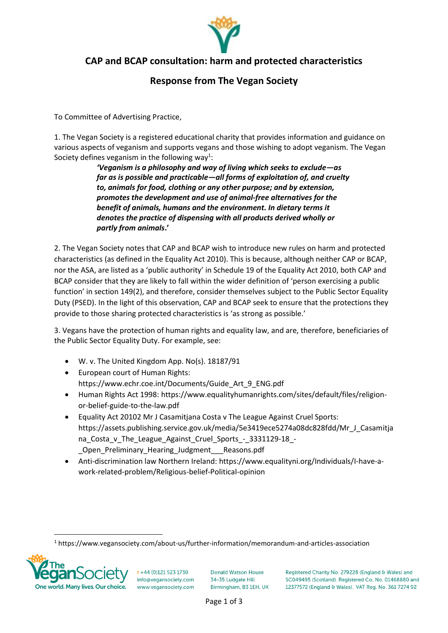

## **CAP and BCAP consultation: harm and protected characteristics**

## **Response from The Vegan Society**

To Committee of Advertising Practice,

1. The Vegan Society is a registered educational charity that provides information and guidance on various aspects of veganism and supports vegans and those wishing to adopt veganism. The Vegan Society defines veganism in the following way<sup>1</sup>:

> *'Veganism is a philosophy and way of living which seeks to exclude—as far as is possible and practicable—all forms of exploitation of, and cruelty to, animals for food, clothing or any other purpose; and by extension, promotes the development and use of animal-free alternatives for the benefit of animals, humans and the environment. In dietary terms it denotes the practice of dispensing with all products derived wholly or partly from animals***.'**

2. The Vegan Society notes that CAP and BCAP wish to introduce new rules on harm and protected characteristics (as defined in the Equality Act 2010). This is because, although neither CAP or BCAP, nor the ASA, are listed as a 'public authority' in Schedule 19 of the Equality Act 2010, both CAP and BCAP consider that they are likely to fall within the wider definition of 'person exercising a public function' in section 149(2), and therefore, consider themselves subject to the Public Sector Equality Duty (PSED). In the light of this observation, CAP and BCAP seek to ensure that the protections they provide to those sharing protected characteristics is 'as strong as possible.'

3. Vegans have the protection of human rights and equality law, and are, therefore, beneficiaries of the Public Sector Equality Duty. For example, see:

- W. v. The United Kingdom App. No(s). 18187/91
- European court of Human Rights: https://www.echr.coe.int/Documents/Guide\_Art\_9\_ENG.pdf
- Human Rights Act 1998: https://www.equalityhumanrights.com/sites/default/files/religionor-belief-guide-to-the-law.pdf
- Equality Act 20102 Mr J Casamitjana Costa v The League Against Cruel Sports: https://assets.publishing.service.gov.uk/media/5e3419ece5274a08dc828fdd/Mr\_J\_Casamitja na\_Costa\_v\_The\_League\_Against\_Cruel\_Sports\_-\_3331129-18\_- \_Open\_Preliminary\_Hearing\_Judgment\_\_\_Reasons.pdf
- Anti-discrimination law Northern Ireland: https://www.equalityni.org/Individuals/I-have-awork-related-problem/Religious-belief-Political-opinion

<sup>1</sup> https://www.vegansociety.com/about-us/further-information/memorandum-and-articles-association



 $t + 44$  (0)121 523 1730 info@vegansociety.com www.vegansociety.com **Donald Watson House** 34-35 Ludgate Hill Birmingham, B3 1EH, UK Registered Charity No. 279228 (England & Wales) and SC049495 (Scotland). Registered Co. No. 01468880 and 12377572 (England & Wales). VAT Reg. No. 361 7274 92

Page 1 of 3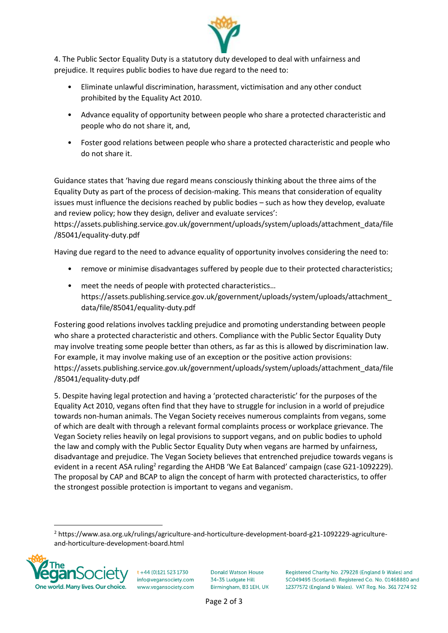

4. The Public Sector Equality Duty is a statutory duty developed to deal with unfairness and prejudice. It requires public bodies to have due regard to the need to:

- Eliminate unlawful discrimination, harassment, victimisation and any other conduct prohibited by the Equality Act 2010.
- Advance equality of opportunity between people who share a protected characteristic and people who do not share it, and,
- Foster good relations between people who share a protected characteristic and people who do not share it.

Guidance states that 'having due regard means consciously thinking about the three aims of the Equality Duty as part of the process of decision-making. This means that consideration of equality issues must influence the decisions reached by public bodies – such as how they develop, evaluate and review policy; how they design, deliver and evaluate services':

https://assets.publishing.service.gov.uk/government/uploads/system/uploads/attachment\_data/file /85041/equality-duty.pdf

Having due regard to the need to advance equality of opportunity involves considering the need to:

- remove or minimise disadvantages suffered by people due to their protected characteristics;
- meet the needs of people with protected characteristics… https://assets.publishing.service.gov.uk/government/uploads/system/uploads/attachment\_ data/file/85041/equality-duty.pdf

Fostering good relations involves tackling prejudice and promoting understanding between people who share a protected characteristic and others. Compliance with the Public Sector Equality Duty may involve treating some people better than others, as far as this is allowed by discrimination law. For example, it may involve making use of an exception or the positive action provisions: https://assets.publishing.service.gov.uk/government/uploads/system/uploads/attachment\_data/file /85041/equality-duty.pdf

5. Despite having legal protection and having a 'protected characteristic' for the purposes of the Equality Act 2010, vegans often find that they have to struggle for inclusion in a world of prejudice towards non-human animals. The Vegan Society receives numerous complaints from vegans, some of which are dealt with through a relevant formal complaints process or workplace grievance. The Vegan Society relies heavily on legal provisions to support vegans, and on public bodies to uphold the law and comply with the Public Sector Equality Duty when vegans are harmed by unfairness, disadvantage and prejudice. The Vegan Society believes that entrenched prejudice towards vegans is evident in a recent ASA ruling<sup>2</sup> regarding the AHDB 'We Eat Balanced' campaign (case G21-1092229). The proposal by CAP and BCAP to align the concept of harm with protected characteristics, to offer the strongest possible protection is important to vegans and veganism.

<sup>2</sup> https://www.asa.org.uk/rulings/agriculture-and-horticulture-development-board-g21-1092229-agricultureand-horticulture-development-board.html



 $t + 44$  (0)121 523 1730 info@vegansociety.com www.vegansociety.com **Donald Watson House** 34-35 Ludgate Hill Birmingham, B3 1EH, UK Registered Charity No. 279228 (England & Wales) and SC049495 (Scotland). Registered Co. No. 01468880 and 12377572 (England & Wales). VAT Reg. No. 361 7274 92

Page 2 of 3